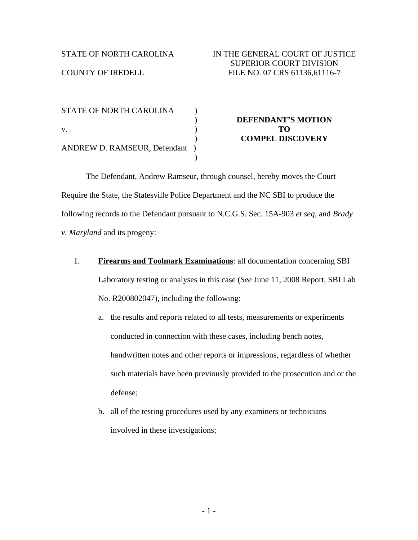COUNTY OF IREDELL

STATE OF NORTH CAROLINA (1) v. ) **TO**  ANDREW D. RAMSEUR, Defendant )  $\hspace{1.5cm}$ ) and  $\hspace{1.5cm}$  (  $\hspace{1.5cm}$ 

# ) **DEFENDANT'S MOTION**  ) **COMPEL DISCOVERY**

 The Defendant, Andrew Ramseur, through counsel, hereby moves the Court Require the State, the Statesville Police Department and the NC SBI to produce the following records to the Defendant pursuant to N.C.G.S. Sec. 15A-903 *et seq*, and *Brady v. Maryland* and its progeny:

- 1. **Firearms and Toolmark Examinations**: all documentation concerning SBI Laboratory testing or analyses in this case (*See* June 11, 2008 Report, SBI Lab No. R200802047), including the following:
	- a. the results and reports related to all tests, measurements or experiments conducted in connection with these cases, including bench notes, handwritten notes and other reports or impressions, regardless of whether such materials have been previously provided to the prosecution and or the defense;
	- b. all of the testing procedures used by any examiners or technicians involved in these investigations;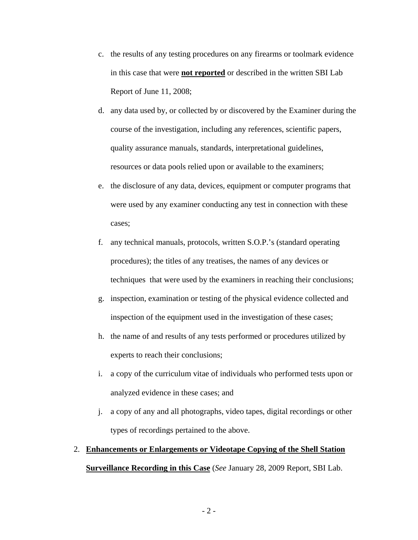- c. the results of any testing procedures on any firearms or toolmark evidence in this case that were **not reported** or described in the written SBI Lab Report of June 11, 2008;
- d. any data used by, or collected by or discovered by the Examiner during the course of the investigation, including any references, scientific papers, quality assurance manuals, standards, interpretational guidelines, resources or data pools relied upon or available to the examiners;
- e. the disclosure of any data, devices, equipment or computer programs that were used by any examiner conducting any test in connection with these cases;
- f. any technical manuals, protocols, written S.O.P.'s (standard operating procedures); the titles of any treatises, the names of any devices or techniques that were used by the examiners in reaching their conclusions;
- g. inspection, examination or testing of the physical evidence collected and inspection of the equipment used in the investigation of these cases;
- h. the name of and results of any tests performed or procedures utilized by experts to reach their conclusions;
- i. a copy of the curriculum vitae of individuals who performed tests upon or analyzed evidence in these cases; and
- j. a copy of any and all photographs, video tapes, digital recordings or other types of recordings pertained to the above.

## 2. **Enhancements or Enlargements or Videotape Copying of the Shell Station Surveillance Recording in this Case** (*See* January 28, 2009 Report, SBI Lab.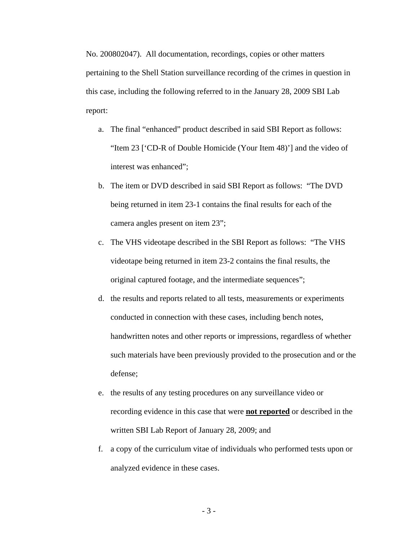No. 200802047). All documentation, recordings, copies or other matters pertaining to the Shell Station surveillance recording of the crimes in question in this case, including the following referred to in the January 28, 2009 SBI Lab report:

- a. The final "enhanced" product described in said SBI Report as follows: "Item 23 ['CD-R of Double Homicide (Your Item 48)'] and the video of interest was enhanced";
- b. The item or DVD described in said SBI Report as follows: "The DVD being returned in item 23-1 contains the final results for each of the camera angles present on item 23";
- c. The VHS videotape described in the SBI Report as follows: "The VHS videotape being returned in item 23-2 contains the final results, the original captured footage, and the intermediate sequences";
- d. the results and reports related to all tests, measurements or experiments conducted in connection with these cases, including bench notes, handwritten notes and other reports or impressions, regardless of whether such materials have been previously provided to the prosecution and or the defense;
- e. the results of any testing procedures on any surveillance video or recording evidence in this case that were **not reported** or described in the written SBI Lab Report of January 28, 2009; and
- f. a copy of the curriculum vitae of individuals who performed tests upon or analyzed evidence in these cases.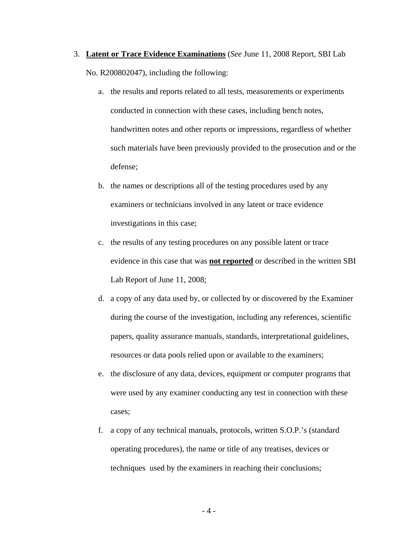- 3. **Latent or Trace Evidence Examinations** (*See* June 11, 2008 Report, SBI Lab No. R200802047), including the following:
	- a. the results and reports related to all tests, measurements or experiments conducted in connection with these cases, including bench notes, handwritten notes and other reports or impressions, regardless of whether such materials have been previously provided to the prosecution and or the defense;
	- b. the names or descriptions all of the testing procedures used by any examiners or technicians involved in any latent or trace evidence investigations in this case;
	- c. the results of any testing procedures on any possible latent or trace evidence in this case that was **not reported** or described in the written SBI Lab Report of June 11, 2008;
	- d. a copy of any data used by, or collected by or discovered by the Examiner during the course of the investigation, including any references, scientific papers, quality assurance manuals, standards, interpretational guidelines, resources or data pools relied upon or available to the examiners;
	- e. the disclosure of any data, devices, equipment or computer programs that were used by any examiner conducting any test in connection with these cases;
	- f. a copy of any technical manuals, protocols, written S.O.P.'s (standard operating procedures), the name or title of any treatises, devices or techniques used by the examiners in reaching their conclusions;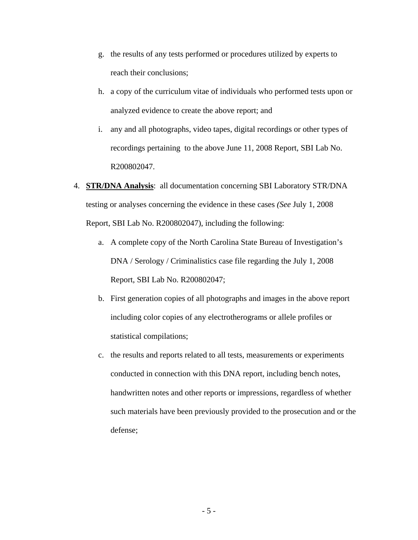- g. the results of any tests performed or procedures utilized by experts to reach their conclusions;
- h. a copy of the curriculum vitae of individuals who performed tests upon or analyzed evidence to create the above report; and
- i. any and all photographs, video tapes, digital recordings or other types of recordings pertaining to the above June 11, 2008 Report, SBI Lab No. R200802047.
- 4. **STR/DNA Analysis**: all documentation concerning SBI Laboratory STR/DNA testing or analyses concerning the evidence in these cases *(See* July 1, 2008 Report, SBI Lab No. R200802047), including the following:
	- a. A complete copy of the North Carolina State Bureau of Investigation's DNA / Serology / Criminalistics case file regarding the July 1, 2008 Report, SBI Lab No. R200802047;
	- b. First generation copies of all photographs and images in the above report including color copies of any electrotherograms or allele profiles or statistical compilations;
	- c. the results and reports related to all tests, measurements or experiments conducted in connection with this DNA report, including bench notes, handwritten notes and other reports or impressions, regardless of whether such materials have been previously provided to the prosecution and or the defense;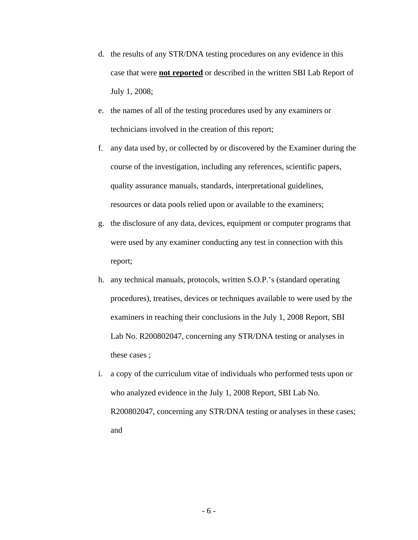- d. the results of any STR/DNA testing procedures on any evidence in this case that were **not reported** or described in the written SBI Lab Report of July 1, 2008;
- e. the names of all of the testing procedures used by any examiners or technicians involved in the creation of this report;
- f. any data used by, or collected by or discovered by the Examiner during the course of the investigation, including any references, scientific papers, quality assurance manuals, standards, interpretational guidelines, resources or data pools relied upon or available to the examiners;
- g. the disclosure of any data, devices, equipment or computer programs that were used by any examiner conducting any test in connection with this report;
- h. any technical manuals, protocols, written S.O.P.'s (standard operating procedures), treatises, devices or techniques available to were used by the examiners in reaching their conclusions in the July 1, 2008 Report, SBI Lab No. R200802047, concerning any STR/DNA testing or analyses in these cases ;
- i. a copy of the curriculum vitae of individuals who performed tests upon or who analyzed evidence in the July 1, 2008 Report, SBI Lab No. R200802047, concerning any STR/DNA testing or analyses in these cases; and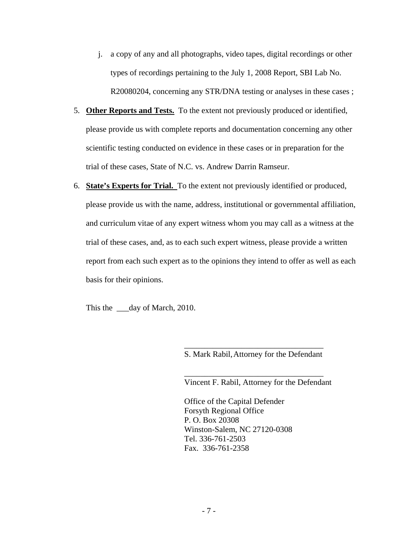- j. a copy of any and all photographs, video tapes, digital recordings or other types of recordings pertaining to the July 1, 2008 Report, SBI Lab No. R20080204, concerning any STR/DNA testing or analyses in these cases ;
- 5. **Other Reports and Tests.** To the extent not previously produced or identified, please provide us with complete reports and documentation concerning any other scientific testing conducted on evidence in these cases or in preparation for the trial of these cases, State of N.C. vs. Andrew Darrin Ramseur.
- 6. **State's Experts for Trial.** To the extent not previously identified or produced, please provide us with the name, address, institutional or governmental affiliation, and curriculum vitae of any expert witness whom you may call as a witness at the trial of these cases, and, as to each such expert witness, please provide a written report from each such expert as to the opinions they intend to offer as well as each basis for their opinions.

 $\overline{\phantom{a}}$  , and the contract of the contract of the contract of the contract of the contract of the contract of the contract of the contract of the contract of the contract of the contract of the contract of the contrac

 $\overline{\phantom{a}}$  , and the contract of the contract of the contract of the contract of the contract of the contract of the contract of the contract of the contract of the contract of the contract of the contract of the contrac

This the day of March, 2010.

S. Mark Rabil, Attorney for the Defendant

Vincent F. Rabil, Attorney for the Defendant

 Office of the Capital Defender Forsyth Regional Office P. O. Box 20308 Winston-Salem, NC 27120-0308 Tel. 336-761-2503 Fax. 336-761-2358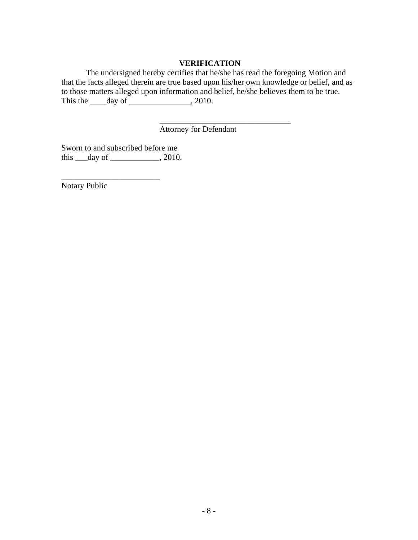### **VERIFICATION**

 The undersigned hereby certifies that he/she has read the foregoing Motion and that the facts alleged therein are true based upon his/her own knowledge or belief, and as to those matters alleged upon information and belief, he/she believes them to be true. This the  $\rule{1em}{0.15mm} \text{day of} \_$ , 2010.

Attorney for Defendant

 $\mathcal{L}_\text{max}$  , and the contract of the contract of the contract of the contract of the contract of the contract of the contract of the contract of the contract of the contract of the contract of the contract of the contr

Sworn to and subscribed before me this  $\rightharpoonup$  day of  $\rightharpoonup$  2010.

\_\_\_\_\_\_\_\_\_\_\_\_\_\_\_\_\_\_\_\_\_\_\_\_

Notary Public